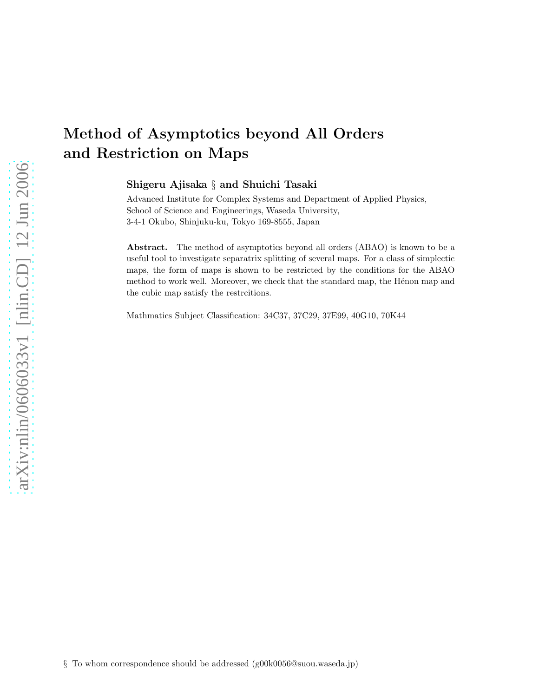# Method of Asymptotics beyond All Orders and Restriction on Maps

Shigeru Ajisaka § and Shuichi Tasaki

Advanced Institute for Complex Systems and Department of Applied Physics, School of Science and Engineerings, Waseda University, 3-4-1 Okubo, Shinjuku-ku, Tokyo 169-8555, Japan

Abstract. The method of asymptotics beyond all orders (ABAO) is known to be a useful tool to investigate separatrix splitting of several maps. For a class of simplectic maps, the form of maps is shown to be restricted by the conditions for the ABAO method to work well. Moreover, we check that the standard map, the Hénon map and the cubic map satisfy the restrcitions.

Mathmatics Subject Classification: 34C37, 37C29, 37E99, 40G10, 70K44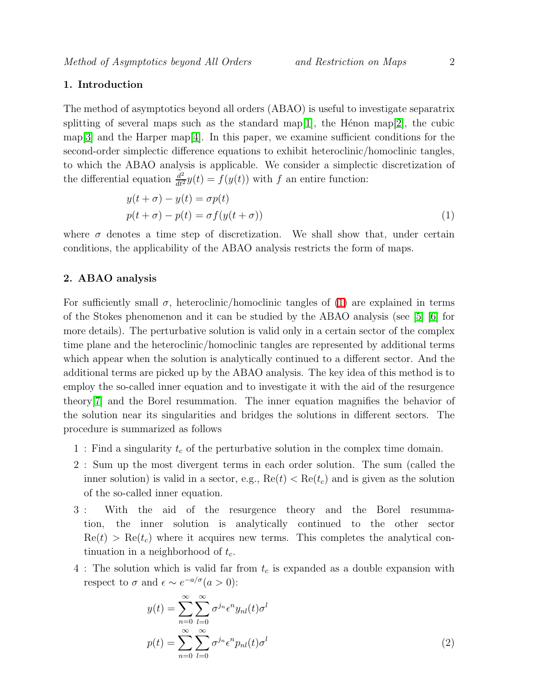# 1. Introduction

The method of asymptotics beyond all orders (ABAO) is useful to investigate separatrix splitting of several maps such as the standard map[\[1\]](#page-5-0), the Hénon map[\[2\]](#page-5-1), the cubic map<sup>[\[3\]](#page-5-2)</sup> and the Harper map<sup>[\[4\]](#page-5-3)</sup>. In this paper, we examine sufficient conditions for the second-order simplectic difference equations to exhibit heteroclinic/homoclinic tangles, to which the ABAO analysis is applicable. We consider a simplectic discretization of the differential equation  $\frac{d^2}{dt^2}y(t) = f(y(t))$  with f an entire function:

$$
y(t + \sigma) - y(t) = \sigma p(t)
$$
  

$$
p(t + \sigma) - p(t) = \sigma f(y(t + \sigma))
$$
 (1)

<span id="page-1-0"></span>where  $\sigma$  denotes a time step of discretization. We shall show that, under certain conditions, the applicability of the ABAO analysis restricts the form of maps.

#### 2. ABAO analysis

For sufficiently small  $\sigma$ , heteroclinic/homoclinic tangles of [\(1\)](#page-1-0) are explained in terms of the Stokes phenomenon and it can be studied by the ABAO analysis (see [\[5\]](#page-5-4) [\[6\]](#page-5-5) for more details). The perturbative solution is valid only in a certain sector of the complex time plane and the heteroclinic/homoclinic tangles are represented by additional terms which appear when the solution is analytically continued to a different sector. And the additional terms are picked up by the ABAO analysis. The key idea of this method is to employ the so-called inner equation and to investigate it with the aid of the resurgence theory[\[7\]](#page-5-6) and the Borel resummation. The inner equation magnifies the behavior of the solution near its singularities and bridges the solutions in different sectors. The procedure is summarized as follows

- 1 : Find a singularity  $t_c$  of the perturbative solution in the complex time domain.
- 2 : Sum up the most divergent terms in each order solution. The sum (called the inner solution) is valid in a sector, e.g.,  $Re(t) < Re(t_c)$  and is given as the solution of the so-called inner equation.
- 3 : With the aid of the resurgence theory and the Borel resummation, the inner solution is analytically continued to the other sector  $\text{Re}(t) > \text{Re}(t_c)$  where it acquires new terms. This completes the analytical continuation in a neighborhood of  $t_c$ .
- <span id="page-1-1"></span>4 : The solution which is valid far from  $t_c$  is expanded as a double expansion with respect to  $\sigma$  and  $\epsilon \sim e^{-a/\sigma} (a > 0)$ :

$$
y(t) = \sum_{n=0}^{\infty} \sum_{l=0}^{\infty} \sigma^{j_n} \epsilon^n y_{nl}(t) \sigma^l
$$
  

$$
p(t) = \sum_{n=0}^{\infty} \sum_{l=0}^{\infty} \sigma^{j_n} \epsilon^n p_{nl}(t) \sigma^l
$$
 (2)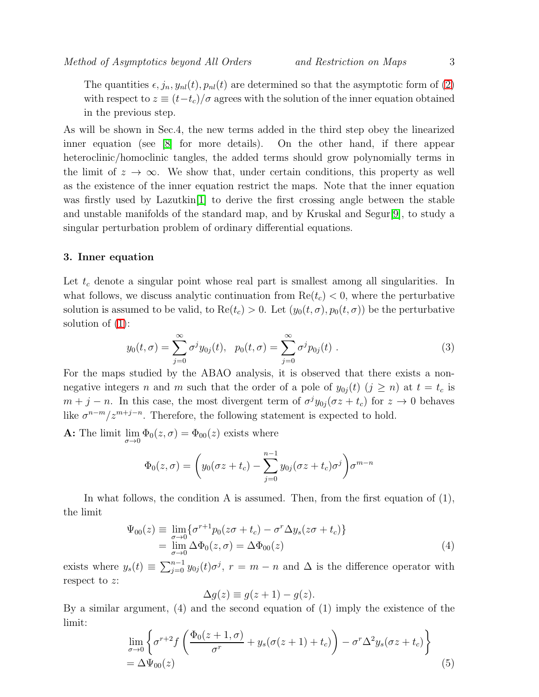The quantities  $\epsilon$ ,  $j_n$ ,  $y_{nl}(t)$ ,  $p_{nl}(t)$  are determined so that the asymptotic form of [\(2\)](#page-1-1) with respect to  $z \equiv (t-t_c)/\sigma$  agrees with the solution of the inner equation obtained in the previous step.

As will be shown in Sec.4, the new terms added in the third step obey the linearized inner equation (see [\[8\]](#page-5-7) for more details). On the other hand, if there appear heteroclinic/homoclinic tangles, the added terms should grow polynomially terms in the limit of  $z \to \infty$ . We show that, under certain conditions, this property as well as the existence of the inner equation restrict the maps. Note that the inner equation was firstly used by Lazutkin[\[1\]](#page-5-0) to derive the first crossing angle between the stable and unstable manifolds of the standard map, and by Kruskal and Segur[\[9\]](#page-6-0), to study a singular perturbation problem of ordinary differential equations.

#### 3. Inner equation

Let  $t_c$  denote a singular point whose real part is smallest among all singularities. In what follows, we discuss analytic continuation from  $Re(t_c) < 0$ , where the perturbative solution is assumed to be valid, to  $\text{Re}(t_c) > 0$ . Let  $(y_0(t, \sigma), p_0(t, \sigma))$  be the perturbative solution of  $(1)$ :

$$
y_0(t,\sigma) = \sum_{j=0}^{\infty} \sigma^j y_{0j}(t), \quad p_0(t,\sigma) = \sum_{j=0}^{\infty} \sigma^j p_{0j}(t) . \tag{3}
$$

For the maps studied by the ABAO analysis, it is observed that there exists a nonnegative integers n and m such that the order of a pole of  $y_{0i}(t)$   $(j \geq n)$  at  $t = t_c$  is  $m + j - n$ . In this case, the most divergent term of  $\sigma^j y_{0j}(\sigma z + t_c)$  for  $z \to 0$  behaves like  $\sigma^{n-m}/z^{m+j-n}$ . Therefore, the following statement is expected to hold.

**A:** The limit  $\lim_{\sigma \to 0} \Phi_0(z, \sigma) = \Phi_{00}(z)$  exists where

$$
\Phi_0(z,\sigma) = \left(y_0(\sigma z + t_c) - \sum_{j=0}^{n-1} y_{0j}(\sigma z + t_c)\sigma^j\right)\sigma^{m-n}
$$

In what follows, the condition A is assumed. Then, from the first equation of (1), the limit

$$
\Psi_{00}(z) \equiv \lim_{\substack{\sigma \to 0 \\ \sigma \to 0}} \{ \sigma^{r+1} p_0(z\sigma + t_c) - \sigma^r \Delta y_s(z\sigma + t_c) \}
$$
  
= 
$$
\lim_{\sigma \to 0} \Delta \Phi_0(z, \sigma) = \Delta \Phi_{00}(z)
$$
 (4)

exists where  $y_s(t) \equiv \sum_{j=0}^{n-1} y_{0j}(t) \sigma^j$ ,  $r = m - n$  and  $\Delta$  is the difference operator with respect to z:

$$
\Delta g(z) \equiv g(z+1) - g(z).
$$

By a similar argument, (4) and the second equation of (1) imply the existence of the limit:

$$
\lim_{\sigma \to 0} \left\{ \sigma^{r+2} f\left( \frac{\Phi_0(z+1,\sigma)}{\sigma^r} + y_s(\sigma(z+1) + t_c) \right) - \sigma^r \Delta^2 y_s(\sigma z + t_c) \right\}
$$
  
=  $\Delta \Psi_{00}(z)$  (5)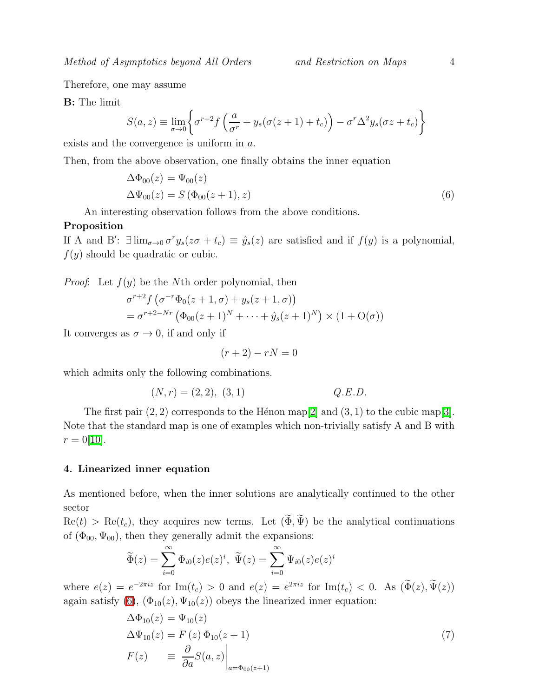Therefore, one may assume

B: The limit

$$
S(a, z) \equiv \lim_{\sigma \to 0} \left\{ \sigma^{r+2} f\left(\frac{a}{\sigma^r} + y_s(\sigma(z+1) + t_c)\right) - \sigma^r \Delta^2 y_s(\sigma z + t_c) \right\}
$$

exists and the convergence is uniform in a.

<span id="page-3-0"></span>Then, from the above observation, one finally obtains the inner equation

$$
\Delta\Phi_{00}(z) = \Psi_{00}(z)
$$
  
\n
$$
\Delta\Psi_{00}(z) = S(\Phi_{00}(z+1), z)
$$
\n(6)

An interesting observation follows from the above conditions.

#### Proposition

If A and B':  $\exists \lim_{\sigma \to 0} \sigma^r y_s(z\sigma + t_c) \equiv \hat{y}_s(z)$  are satisfied and if  $f(y)$  is a polynomial,  $f(y)$  should be quadratic or cubic.

*Proof*: Let  $f(y)$  be the Nth order polynomial, then

$$
\sigma^{r+2} f\left(\sigma^{-r} \Phi_0(z+1,\sigma) + y_s(z+1,\sigma)\right) \n= \sigma^{r+2-Nr} \left(\Phi_{00}(z+1)^N + \dots + \hat{y}_s(z+1)^N\right) \times (1+\mathrm{O}(\sigma))
$$

It converges as  $\sigma \to 0$ , if and only if

$$
(r+2) - rN = 0
$$

which admits only the following combinations.

$$
(N,r) = (2,2), (3,1) \tQ.E.D.
$$

The first pair  $(2, 2)$  corresponds to the Hénon map[\[2\]](#page-5-1) and  $(3, 1)$  to the cubic map[\[3\]](#page-5-2). Note that the standard map is one of examples which non-trivially satisfy A and B with  $r = 0[10].$  $r = 0[10].$  $r = 0[10].$ 

## 4. Linearized inner equation

As mentioned before, when the inner solutions are analytically continued to the other sector

 $\text{Re}(t) > \text{Re}(t_c)$ , they acquires new terms. Let  $(\widetilde{\Phi}, \widetilde{\Psi})$  be the analytical continuations of  $(\Phi_{00}, \Psi_{00})$ , then they generally admit the expansions:

$$
\widetilde{\Phi}(z) = \sum_{i=0}^{\infty} \Phi_{i0}(z)e(z)^i, \ \widetilde{\Psi}(z) = \sum_{i=0}^{\infty} \Psi_{i0}(z)e(z)^i
$$

<span id="page-3-1"></span>where  $e(z) = e^{-2\pi i z}$  for  $\text{Im}(t_c) > 0$  and  $e(z) = e^{2\pi i z}$  for  $\text{Im}(t_c) < 0$ . As  $(\tilde{\Phi}(z), \tilde{\Psi}(z))$ again satisfy [\(6\)](#page-3-0),  $(\Phi_{10}(z), \Psi_{10}(z))$  obeys the linearized inner equation:

$$
\Delta\Phi_{10}(z) = \Psi_{10}(z)
$$
  
\n
$$
\Delta\Psi_{10}(z) = F(z)\Phi_{10}(z+1)
$$
  
\n
$$
F(z) \equiv \left. \frac{\partial}{\partial a} S(a, z) \right|_{a = \Phi_{00}(z+1)}
$$
\n(7)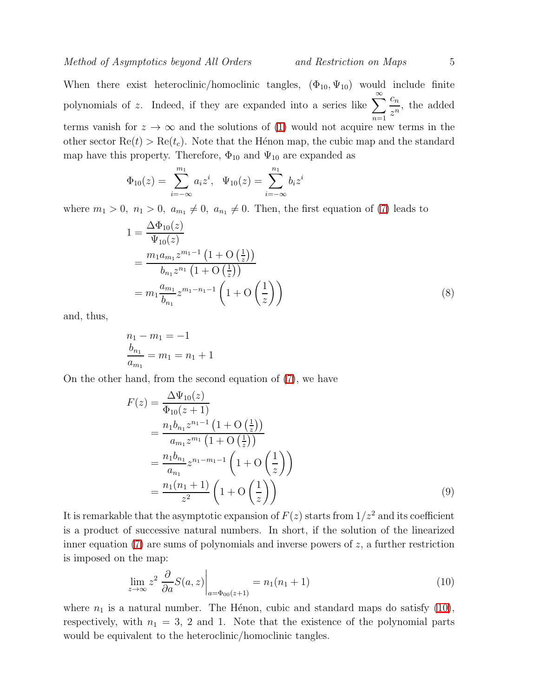When there exist heteroclinic/homoclinic tangles,  $(\Phi_{10}, \Psi_{10})$  would include finite polynomials of z. Indeed, if they are expanded into a series like  $\sum_{n=1}^{\infty}$  $n=1$  $\overline{c}_n$  $\frac{c_n}{z^n}$ , the added terms vanish for  $z \to \infty$  and the solutions of [\(1\)](#page-1-0) would not acquire new terms in the other sector  $\text{Re}(t) > \text{Re}(t_c)$ . Note that the Hénon map, the cubic map and the standard map have this property. Therefore,  $\Phi_{10}$  and  $\Psi_{10}$  are expanded as

$$
\Phi_{10}(z) = \sum_{i=-\infty}^{m_1} a_i z^i, \quad \Psi_{10}(z) = \sum_{i=-\infty}^{n_1} b_i z^i
$$

where  $m_1 > 0$ ,  $n_1 > 0$ ,  $a_{m_1} \neq 0$ ,  $a_{n_1} \neq 0$ . Then, the first equation of [\(7\)](#page-3-1) leads to

$$
1 = \frac{\Delta \Phi_{10}(z)}{\Psi_{10}(z)}
$$
  
= 
$$
\frac{m_1 a_{m_1} z^{m_1 - 1} (1 + O\left(\frac{1}{z}\right))}{b_{n_1} z^{n_1} (1 + O\left(\frac{1}{z}\right))}
$$
  
= 
$$
m_1 \frac{a_{m_1}}{b_{n_1}} z^{m_1 - n_1 - 1} \left(1 + O\left(\frac{1}{z}\right)\right)
$$
 (8)

and, thus,

$$
n_1 - m_1 = -1
$$
  
\n
$$
\frac{b_{n_1}}{a_{m_1}} = m_1 = n_1 + 1
$$

On the other hand, from the second equation of [\(7\)](#page-3-1), we have

$$
F(z) = \frac{\Delta\Psi_{10}(z)}{\Phi_{10}(z+1)}
$$
  
= 
$$
\frac{n_1 b_{n_1} z^{n_1 - 1} (1 + O(\frac{1}{z}))}{a_{m_1} z^{m_1} (1 + O(\frac{1}{z}))}
$$
  
= 
$$
\frac{n_1 b_{n_1}}{a_{n_1}} z^{n_1 - m_1 - 1} (1 + O(\frac{1}{z}))
$$
  
= 
$$
\frac{n_1 (n_1 + 1)}{z^2} (1 + O(\frac{1}{z}))
$$
 (9)

It is remarkable that the asymptotic expansion of  $F(z)$  starts from  $1/z<sup>2</sup>$  and its coefficient is a product of successive natural numbers. In short, if the solution of the linearized inner equation  $(7)$  are sums of polynomials and inverse powers of z, a further restriction is imposed on the map:

$$
\lim_{z \to \infty} z^2 \left. \frac{\partial}{\partial a} S(a, z) \right|_{a = \Phi_{00}(z+1)} = n_1(n_1+1)
$$
\n(10)

<span id="page-4-0"></span>where  $n_1$  is a natural number. The Hénon, cubic and standard maps do satisfy [\(10\)](#page-4-0), respectively, with  $n_1 = 3$ , 2 and 1. Note that the existence of the polynomial parts would be equivalent to the heteroclinic/homoclinic tangles.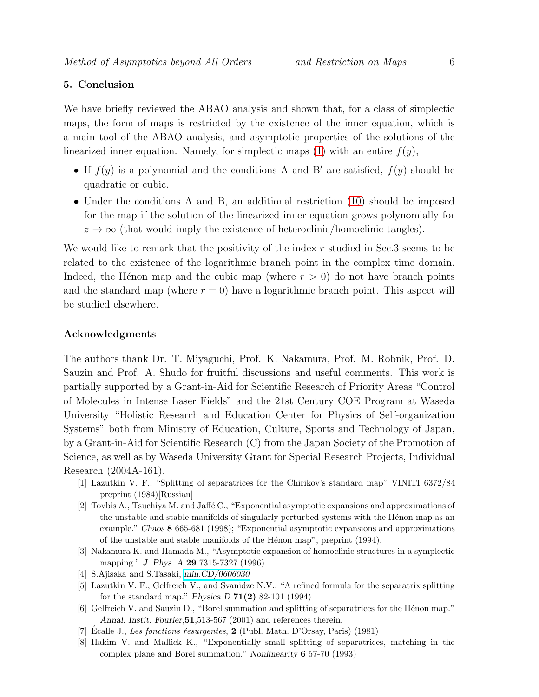# 5. Conclusion

We have briefly reviewed the ABAO analysis and shown that, for a class of simplectic maps, the form of maps is restricted by the existence of the inner equation, which is a main tool of the ABAO analysis, and asymptotic properties of the solutions of the linearized inner equation. Namely, for simplectic maps  $(1)$  with an entire  $f(y)$ ,

- If  $f(y)$  is a polynomial and the conditions A and B' are satisfied,  $f(y)$  should be quadratic or cubic.
- Under the conditions A and B, an additional restriction [\(10\)](#page-4-0) should be imposed for the map if the solution of the linearized inner equation grows polynomially for  $z \to \infty$  (that would imply the existence of heteroclinic/homoclinic tangles).

We would like to remark that the positivity of the index  $r$  studied in Sec.3 seems to be related to the existence of the logarithmic branch point in the complex time domain. Indeed, the Hénon map and the cubic map (where  $r > 0$ ) do not have branch points and the standard map (where  $r = 0$ ) have a logarithmic branch point. This aspect will be studied elsewhere.

## Acknowledgments

The authors thank Dr. T. Miyaguchi, Prof. K. Nakamura, Prof. M. Robnik, Prof. D. Sauzin and Prof. A. Shudo for fruitful discussions and useful comments. This work is partially supported by a Grant-in-Aid for Scientific Research of Priority Areas "Control of Molecules in Intense Laser Fields" and the 21st Century COE Program at Waseda University "Holistic Research and Education Center for Physics of Self-organization Systems" both from Ministry of Education, Culture, Sports and Technology of Japan, by a Grant-in-Aid for Scientific Research (C) from the Japan Society of the Promotion of Science, as well as by Waseda University Grant for Special Research Projects, Individual Research (2004A-161).

- <span id="page-5-1"></span><span id="page-5-0"></span>[1] Lazutkin V. F., "Splitting of separatrices for the Chirikov's standard map" VINITI 6372/84 preprint (1984)[Russian]
- [2] Tovbis A., Tsuchiya M. and Jaff´e C., "Exponential asymptotic expansions and approximations of the unstable and stable manifolds of singularly perturbed systems with the Hénon map as an example." Chaos 8 665-681 (1998); "Exponential asymptotic expansions and approximations of the unstable and stable manifolds of the Hénon map", preprint (1994).
- <span id="page-5-2"></span>[3] Nakamura K. and Hamada M., "Asymptotic expansion of homoclinic structures in a symplectic mapping." J. Phys. A 29 7315-7327 (1996)
- <span id="page-5-4"></span><span id="page-5-3"></span>[4] S.Ajisaka and S.Tasaki, [nlin.CD/0606030](http://arxiv.org/abs/nlin/0606030)
- [5] Lazutkin V. F., Gelfreich V., and Svanidze N.V., "A refined formula for the separatrix splitting for the standard map." Physica D  $71(2)$  82-101 (1994)
- <span id="page-5-5"></span>[6] Gelfreich V. and Sauzin D., "Borel summation and splitting of separatrices for the H´enon map." Annal. Instit. Fourier, 51, 513-567 (2001) and references therein.
- <span id="page-5-7"></span><span id="page-5-6"></span>[7] Écalle J., Les fonctions resurgentes,  $2$  (Publ. Math. D'Orsay, Paris) (1981)
- [8] Hakim V. and Mallick K., "Exponentially small splitting of separatrices, matching in the complex plane and Borel summation." Nonlinearity 6 57-70 (1993)